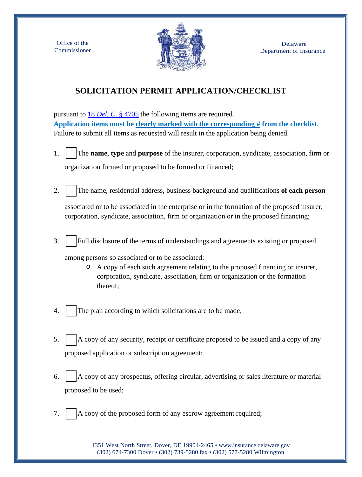Office of the Commissioner



## **SOLICITATION PERMIT APPLICATION/CHECKLIST**

pursuant to 18 *Del. C*[. § 4705](https://delcode.delaware.gov/title18/c047/index.shtml) the following items are required. **Application items must be clearly marked with the corresponding # from the checklist**. Failure to submit all items as requested will result in the application being denied.

- 1. �The **name**, **type** and **purpose** of the insurer, corporation, syndicate, association, firm or organization formed or proposed to be formed or financed;
- 2. �The name, residential address, business background and qualifications **of each person**

associated or to be associated in the enterprise or in the formation of the proposed insurer, corporation, syndicate, association, firm or organization or in the proposed financing;

3. Full disclosure of the terms of understandings and agreements existing or proposed

among persons so associated or to be associated:

- o A copy of each such agreement relating to the proposed financing or insurer, corporation, syndicate, association, firm or organization or the formation thereof;
- 4. The plan according to which solicitations are to be made;
- 5.  $\vert$   $\vert$  A copy of any security, receipt or certificate proposed to be issued and a copy of any proposed application or subscription agreement;
- 6.  $\parallel$  A copy of any prospectus, offering circular, advertising or sales literature or material proposed to be used;
- 7.  $\vert$   $\vert$  A copy of the proposed form of any escrow agreement required;

1351 West North Street, Dover, DE 19904-2465 • [www.insurance.delaware.gov](http://www.insurance.delaware.gov/) (302) 674-7300 Dover • (302) 739-5280 fax • (302) 577-5280 Wilmington